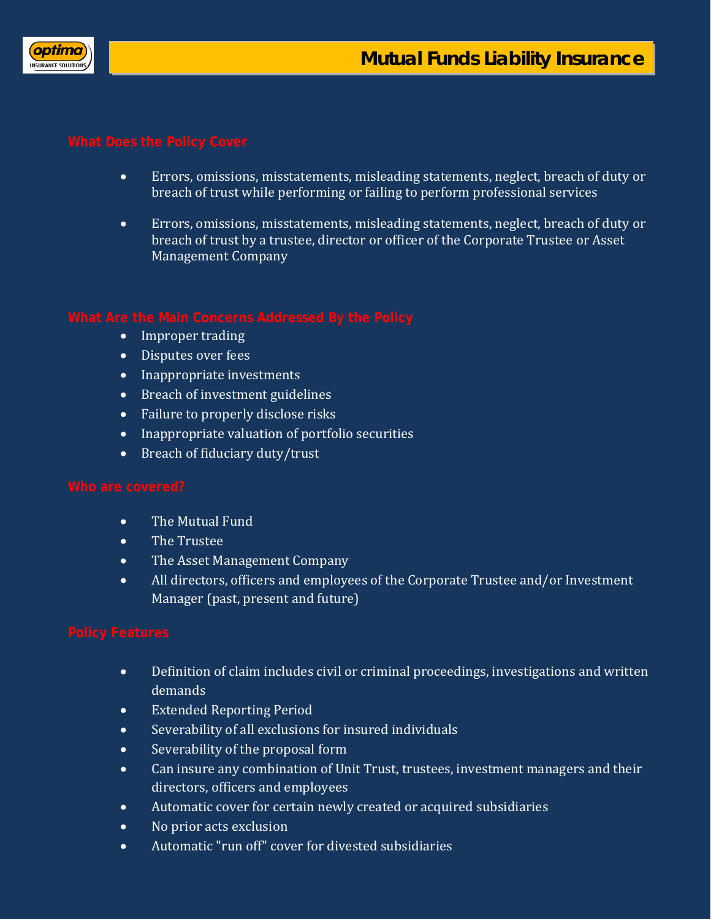

- Errors, omissions, misstatements, misleading statements, neglect, breach of duty or breach of trust while performing or failing to perform professional services
- Errors, omissions, misstatements, misleading statements, neglect, breach of duty or breach of trust by a trustee, director or officer of the Corporate Trustee or Asset Management Company

- Improper trading
- Disputes over fees
- Inappropriate investments
- Breach of investment guidelines
- Failure to properly disclose risks
- Inappropriate valuation of portfolio securities
- Breach of fiduciary duty/trust

- The Mutual Fund
- The Trustee
- The Asset Management Company
- All directors, officers and employees of the Corporate Trustee and/or Investment Manager (past, present and future)

- Definition of claim includes civil or criminal proceedings, investigations and written demands
- Extended Reporting Period
- Severability of all exclusions for insured individuals
- Severability of the proposal form
- Can insure any combination of Unit Trust, trustees, investment managers and their directors, officers and employees
- Automatic cover for certain newly created or acquired subsidiaries
- No prior acts exclusion
- Automatic "run off" cover for divested subsidiaries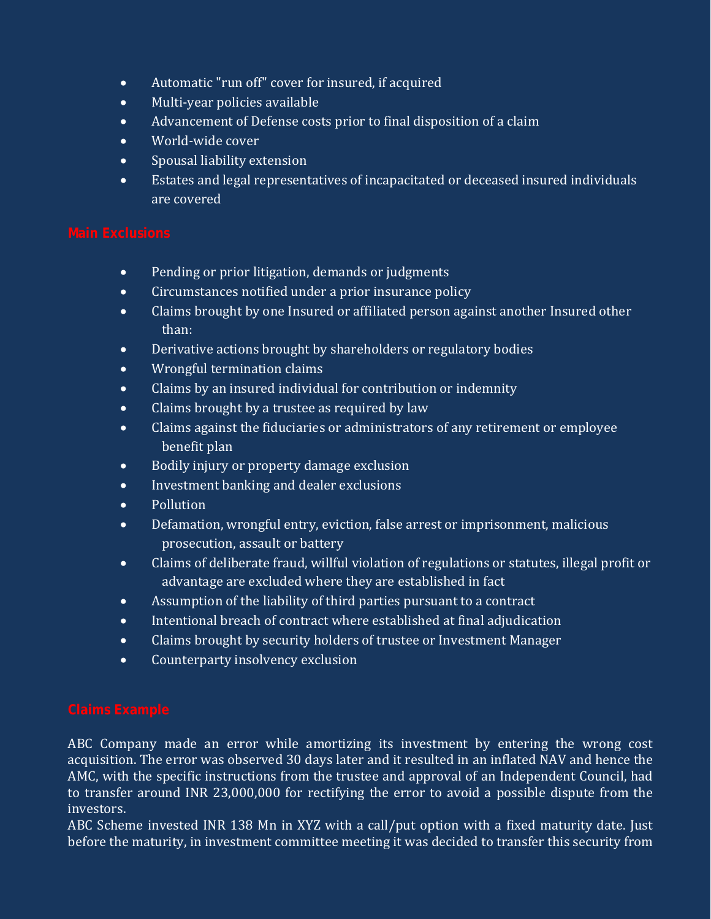- Automatic "run off" cover for insured, if acquired
- Multi-year policies available
- Advancement of Defense costs prior to final disposition of a claim
- World-wide cover
- Spousal liability extension
- Estates and legal representatives of incapacitated or deceased insured individuals are covered

- Pending or prior litigation, demands or judgments
- Circumstances notified under a prior insurance policy
- Claims brought by one Insured or affiliated person against another Insured other than:
- Derivative actions brought by shareholders or regulatory bodies
- Wrongful termination claims
- Claims by an insured individual for contribution or indemnity
- Claims brought by a trustee as required by law
- Claims against the fiduciaries or administrators of any retirement or employee benefit plan
- Bodily injury or property damage exclusion
- Investment banking and dealer exclusions
- Pollution
- Defamation, wrongful entry, eviction, false arrest or imprisonment, malicious prosecution, assault or battery
- Claims of deliberate fraud, willful violation of regulations or statutes, illegal profit or advantage are excluded where they are established in fact
- Assumption of the liability of third parties pursuant to a contract
- Intentional breach of contract where established at final adjudication
- Claims brought by security holders of trustee or Investment Manager
- Counterparty insolvency exclusion

ABC Company made an error while amortizing its investment by entering the wrong cost acquisition. The error was observed 30 days later and it resulted in an inflated NAV and hence the AMC, with the specific instructions from the trustee and approval of an Independent Council, had to transfer around INR 23,000,000 for rectifying the error to avoid a possible dispute from the investors.

ABC Scheme invested INR 138 Mn in XYZ with a call/put option with a fixed maturity date. Just before the maturity, in investment committee meeting it was decided to transfer this security from